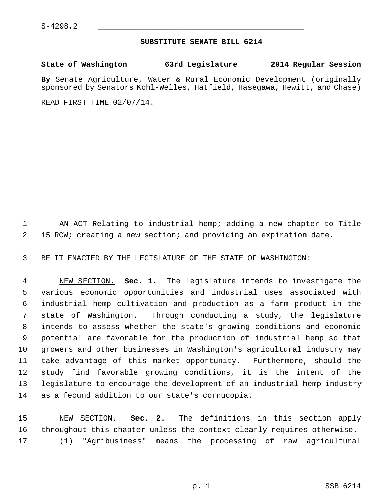## **SUBSTITUTE SENATE BILL 6214** \_\_\_\_\_\_\_\_\_\_\_\_\_\_\_\_\_\_\_\_\_\_\_\_\_\_\_\_\_\_\_\_\_\_\_\_\_\_\_\_\_\_\_\_\_

**State of Washington 63rd Legislature 2014 Regular Session**

**By** Senate Agriculture, Water & Rural Economic Development (originally sponsored by Senators Kohl-Welles, Hatfield, Hasegawa, Hewitt, and Chase)

READ FIRST TIME 02/07/14.

 1 AN ACT Relating to industrial hemp; adding a new chapter to Title 2 15 RCW; creating a new section; and providing an expiration date.

3 BE IT ENACTED BY THE LEGISLATURE OF THE STATE OF WASHINGTON:

 4 NEW SECTION. **Sec. 1.** The legislature intends to investigate the 5 various economic opportunities and industrial uses associated with 6 industrial hemp cultivation and production as a farm product in the 7 state of Washington. Through conducting a study, the legislature 8 intends to assess whether the state's growing conditions and economic 9 potential are favorable for the production of industrial hemp so that 10 growers and other businesses in Washington's agricultural industry may 11 take advantage of this market opportunity. Furthermore, should the 12 study find favorable growing conditions, it is the intent of the 13 legislature to encourage the development of an industrial hemp industry 14 as a fecund addition to our state's cornucopia.

15 NEW SECTION. **Sec. 2.** The definitions in this section apply 16 throughout this chapter unless the context clearly requires otherwise. 17 (1) "Agribusiness" means the processing of raw agricultural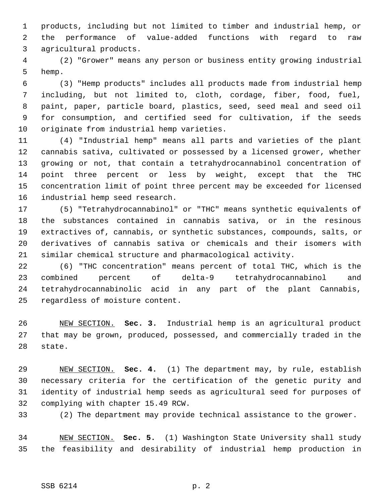1 products, including but not limited to timber and industrial hemp, or 2 the performance of value-added functions with regard to raw 3 agricultural products.

 4 (2) "Grower" means any person or business entity growing industrial 5 hemp.

 6 (3) "Hemp products" includes all products made from industrial hemp 7 including, but not limited to, cloth, cordage, fiber, food, fuel, 8 paint, paper, particle board, plastics, seed, seed meal and seed oil 9 for consumption, and certified seed for cultivation, if the seeds 10 originate from industrial hemp varieties.

11 (4) "Industrial hemp" means all parts and varieties of the plant 12 cannabis sativa, cultivated or possessed by a licensed grower, whether 13 growing or not, that contain a tetrahydrocannabinol concentration of 14 point three percent or less by weight, except that the THC 15 concentration limit of point three percent may be exceeded for licensed 16 industrial hemp seed research.

17 (5) "Tetrahydrocannabinol" or "THC" means synthetic equivalents of 18 the substances contained in cannabis sativa, or in the resinous 19 extractives of, cannabis, or synthetic substances, compounds, salts, or 20 derivatives of cannabis sativa or chemicals and their isomers with 21 similar chemical structure and pharmacological activity.

22 (6) "THC concentration" means percent of total THC, which is the 23 combined percent of delta-9 tetrahydrocannabinol and 24 tetrahydrocannabinolic acid in any part of the plant Cannabis, 25 regardless of moisture content.

26 NEW SECTION. **Sec. 3.** Industrial hemp is an agricultural product 27 that may be grown, produced, possessed, and commercially traded in the 28 state.

29 NEW SECTION. **Sec. 4.** (1) The department may, by rule, establish 30 necessary criteria for the certification of the genetic purity and 31 identity of industrial hemp seeds as agricultural seed for purposes of 32 complying with chapter 15.49 RCW.

33 (2) The department may provide technical assistance to the grower.

34 NEW SECTION. **Sec. 5.** (1) Washington State University shall study 35 the feasibility and desirability of industrial hemp production in

## SSB 6214 p. 2